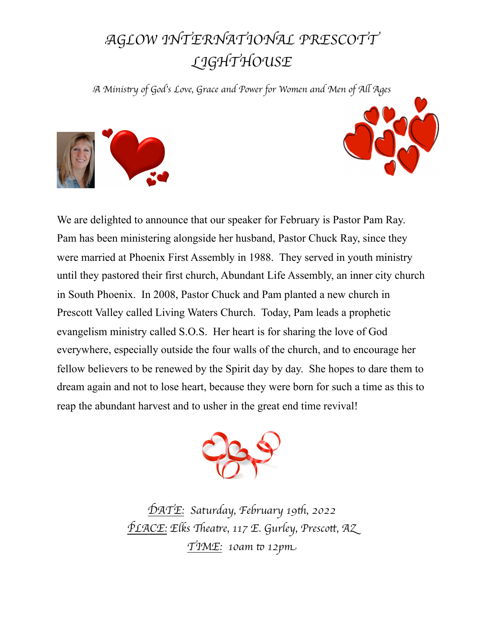## A*GLOW INTERNATIONAL PRESCOTT*  L*IGHTHOUSE*

A *Minis*%*y of God*'*s Love, Grace and Power for Women and Men of A*. *Age*s





We are delighted to announce that our speaker for February is Pastor Pam Ray. Pam has been ministering alongside her husband, Pastor Chuck Ray, since they were married at Phoenix First Assembly in 1988. They served in youth ministry until they pastored their first church, Abundant Life Assembly, an inner city church in South Phoenix. In 2008, Pastor Chuck and Pam planted a new church in Prescott Valley called Living Waters Church. Today, Pam leads a prophetic evangelism ministry called S.O.S. Her heart is for sharing the love of God everywhere, especially outside the four walls of the church, and to encourage her fellow believers to be renewed by the Spirit day by day. She hopes to dare them to dream again and not to lose heart, because they were born for such a time as this to reap the abundant harvest and to usher in the great end time revival!



D*ATE: Saturday, February 19*"*, 2022* P*LACE: Elks* \$*ea*%*e, 117 E. Gurley, Presco*&*, A*Z T*IME: 10am* ) *12p*m